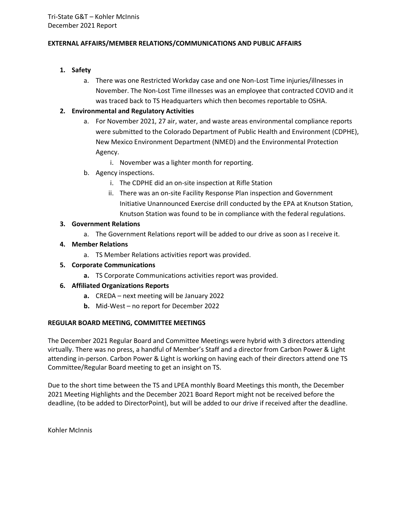### **EXTERNAL AFFAIRS/MEMBER RELATIONS/COMMUNICATIONS AND PUBLIC AFFAIRS**

- **1. Safety**
	- a. There was one Restricted Workday case and one Non-Lost Time injuries/illnesses in November. The Non-Lost Time illnesses was an employee that contracted COVID and it was traced back to TS Headquarters which then becomes reportable to OSHA.

# **2. Environmental and Regulatory Activities**

- a. For November 2021, 27 air, water, and waste areas environmental compliance reports were submitted to the Colorado Department of Public Health and Environment (CDPHE), New Mexico Environment Department (NMED) and the Environmental Protection Agency.
	- i. November was a lighter month for reporting.
- b. Agency inspections.
	- i. The CDPHE did an on-site inspection at Rifle Station
	- ii. There was an on-site Facility Response Plan inspection and Government Initiative Unannounced Exercise drill conducted by the EPA at Knutson Station, Knutson Station was found to be in compliance with the federal regulations.

### **3. Government Relations**

- a. The Government Relations report will be added to our drive as soon as I receive it.
- **4. Member Relations**
	- a. TS Member Relations activities report was provided.
- **5. Corporate Communications**
	- **a.** TS Corporate Communications activities report was provided.
- **6. Affiliated Organizations Reports**
	- **a.** CREDA next meeting will be January 2022
	- **b.** Mid-West no report for December 2022

# **REGULAR BOARD MEETING, COMMITTEE MEETINGS**

The December 2021 Regular Board and Committee Meetings were hybrid with 3 directors attending virtually. There was no press, a handful of Member's Staff and a director from Carbon Power & Light attending in-person. Carbon Power & Light is working on having each of their directors attend one TS Committee/Regular Board meeting to get an insight on TS.

Due to the short time between the TS and LPEA monthly Board Meetings this month, the December 2021 Meeting Highlights and the December 2021 Board Report might not be received before the deadline, (to be added to DirectorPoint), but will be added to our drive if received after the deadline.

Kohler McInnis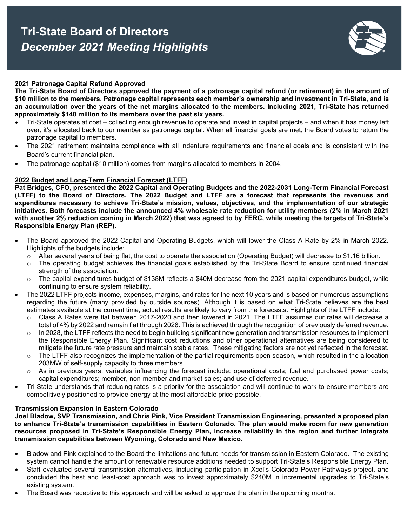

### **2021 Patronage Capital Refund Approved**

**The Tri-State Board of Directors approved the payment of a patronage capital refund (or retirement) in the amount of \$10 million to the members. Patronage capital represents each member's ownership and investment in Tri-State, and is an accumulation over the years of the net margins allocated to the members. Including 2021, Tri-State has returned approximately \$140 million to its members over the past six years.**

- Tri-State operates at cost collecting enough revenue to operate and invest in capital projects and when it has money left over, it's allocated back to our member as patronage capital. When all financial goals are met, the Board votes to return the patronage capital to members.
- The 2021 retirement maintains compliance with all indenture requirements and financial goals and is consistent with the Board's current financial plan.
- The patronage capital (\$10 million) comes from margins allocated to members in 2004.

#### **2022 Budget and Long-Term Financial Forecast (LTFF)**

**Pat Bridges, CFO, presented the 2022 Capital and Operating Budgets and the 2022-2031 Long-Term Financial Forecast (LTFF) to the Board of Directors. The 2022 Budget and LTFF are a forecast that represents the revenues and expenditures necessary to achieve Tri-State's mission, values, objectives, and the implementation of our strategic initiatives. Both forecasts include the announced 4% wholesale rate reduction for utility members (2% in March 2021 with another 2% reduction coming in March 2022) that was agreed to by FERC, while meeting the targets of Tri-State's Responsible Energy Plan (REP).** 

- The Board approved the 2022 Capital and Operating Budgets, which will lower the Class A Rate by 2% in March 2022. Highlights of the budgets include:
	- $\circ$  After several years of being flat, the cost to operate the association (Operating Budget) will decrease to \$1.16 billion.
	- o The operating budget achieves the financial goals established by the Tri-State Board to ensure continued financial strength of the association.
	- $\circ$  The capital expenditures budget of \$138M reflects a \$40M decrease from the 2021 capital expenditures budget, while continuing to ensure system reliability.
- The 2022 LTFF projects income, expenses, margins, and rates for the next 10 years and is based on numerous assumptions regarding the future (many provided by outside sources). Although it is based on what Tri-State believes are the best estimates available at the current time, actual results are likely to vary from the forecasts. Highlights of the LTFF include:
	- $\circ$  Class A Rates were flat between 2017-2020 and then lowered in 2021. The LTFF assumes our rates will decrease a total of 4% by 2022 and remain flat through 2028. This is achieved through the recognition of previously deferred revenue.
	- $\circ$  In 2028, the LTFF reflects the need to begin building significant new generation and transmission resources to implement the Responsible Energy Plan. Significant cost reductions and other operational alternatives are being considered to mitigate the future rate pressure and maintain stable rates. These mitigating factors are not yet reflected in the forecast.
	- $\circ$  The LTFF also recognizes the implementation of the partial requirements open season, which resulted in the allocation 203MW of self-supply capacity to three members
	- $\circ$  As in previous years, variables influencing the forecast include: operational costs; fuel and purchased power costs; capital expenditures; member, non-member and market sales; and use of deferred revenue.
- Tri-State understands that reducing rates is a priority for the association and will continue to work to ensure members are competitively positioned to provide energy at the most affordable price possible.

#### **Transmission Expansion in Eastern Colorado**

**Joel Bladow, SVP Transmission, and Chris Pink, Vice President Transmission Engineering, presented a proposed plan to enhance Tri-State's transmission capabilities in Eastern Colorado. The plan would make room for new generation resources proposed in Tri-State's Responsible Energy Plan, increase reliability in the region and further integrate transmission capabilities between Wyoming, Colorado and New Mexico.** 

- Bladow and Pink explained to the Board the limitations and future needs for transmission in Eastern Colorado. The existing system cannot handle the amount of renewable resource additions needed to support Tri-State's Responsible Energy Plan.
- Staff evaluated several transmission alternatives, including participation in Xcel's Colorado Power Pathways project, and concluded the best and least-cost approach was to invest approximately \$240M in incremental upgrades to Tri-State's existing system.
- The Board was receptive to this approach and will be asked to approve the plan in the upcoming months.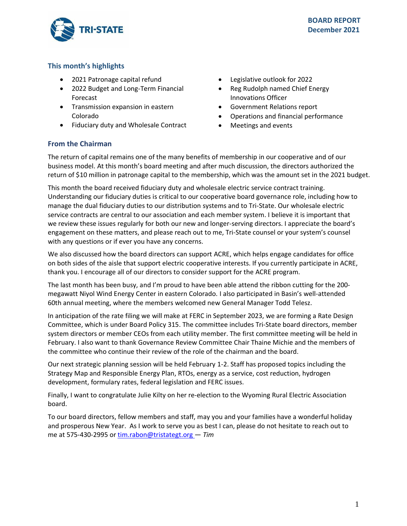

# **This month's highlights**

- 2021 Patronage capital refund
- 2022 Budget and Long-Term Financial Forecast
- Transmission expansion in eastern Colorado
- Fiduciary duty and Wholesale Contract
- Legislative outlook for 2022
- Reg Rudolph named Chief Energy Innovations Officer
- Government Relations report
- Operations and financial performance
- Meetings and events

# **From the Chairman**

The return of capital remains one of the many benefits of membership in our cooperative and of our business model. At this month's board meeting and after much discussion, the directors authorized the return of \$10 million in patronage capital to the membership, which was the amount set in the 2021 budget.

This month the board received fiduciary duty and wholesale electric service contract training. Understanding our fiduciary duties is critical to our cooperative board governance role, including how to manage the dual fiduciary duties to our distribution systems and to Tri-State. Our wholesale electric service contracts are central to our association and each member system. I believe it is important that we review these issues regularly for both our new and longer-serving directors. I appreciate the board's engagement on these matters, and please reach out to me, Tri-State counsel or your system's counsel with any questions or if ever you have any concerns.

We also discussed how the board directors can support ACRE, which helps engage candidates for office on both sides of the aisle that support electric cooperative interests. If you currently participate in ACRE, thank you. I encourage all of our directors to consider support for the ACRE program.

The last month has been busy, and I'm proud to have been able attend the ribbon cutting for the 200 megawatt Niyol Wind Energy Center in eastern Colorado. I also participated in Basin's well-attended 60th annual meeting, where the members welcomed new General Manager Todd Telesz.

In anticipation of the rate filing we will make at FERC in September 2023, we are forming a Rate Design Committee, which is under Board Policy 315. The committee includes Tri-State board directors, member system directors or member CEOs from each utility member. The first committee meeting will be held in February. I also want to thank Governance Review Committee Chair Thaine Michie and the members of the committee who continue their review of the role of the chairman and the board.

Our next strategic planning session will be held February 1-2. Staff has proposed topics including the Strategy Map and Responsible Energy Plan, RTOs, energy as a service, cost reduction, hydrogen development, formulary rates, federal legislation and FERC issues.

Finally, I want to congratulate Julie Kilty on her re-election to the Wyoming Rural Electric Association board.

To our board directors, fellow members and staff, may you and your families have a wonderful holiday and prosperous New Year. As I work to serve you as best I can, please do not hesitate to reach out to me at 575-430-2995 or[tim.rabon@tristategt.org —](mailto:tim.rabon@tristategt.org) *Tim*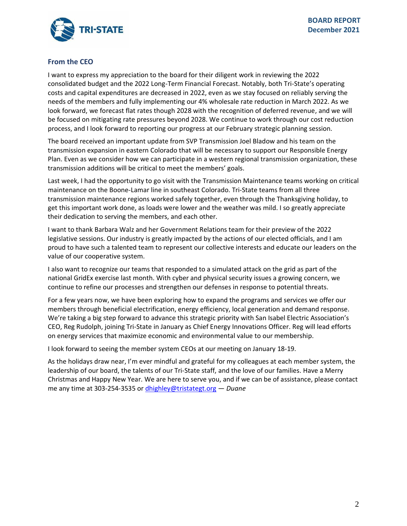

# **From the CEO**

I want to express my appreciation to the board for their diligent work in reviewing the 2022 consolidated budget and the 2022 Long-Term Financial Forecast. Notably, both Tri-State's operating costs and capital expenditures are decreased in 2022, even as we stay focused on reliably serving the needs of the members and fully implementing our 4% wholesale rate reduction in March 2022. As we look forward, we forecast flat rates though 2028 with the recognition of deferred revenue, and we will be focused on mitigating rate pressures beyond 2028. We continue to work through our cost reduction process, and I look forward to reporting our progress at our February strategic planning session.

The board received an important update from SVP Transmission Joel Bladow and his team on the transmission expansion in eastern Colorado that will be necessary to support our Responsible Energy Plan. Even as we consider how we can participate in a western regional transmission organization, these transmission additions will be critical to meet the members' goals.

Last week, I had the opportunity to go visit with the Transmission Maintenance teams working on critical maintenance on the Boone-Lamar line in southeast Colorado. Tri-State teams from all three transmission maintenance regions worked safely together, even through the Thanksgiving holiday, to get this important work done, as loads were lower and the weather was mild. I so greatly appreciate their dedication to serving the members, and each other.

I want to thank Barbara Walz and her Government Relations team for their preview of the 2022 legislative sessions. Our industry is greatly impacted by the actions of our elected officials, and I am proud to have such a talented team to represent our collective interests and educate our leaders on the value of our cooperative system.

I also want to recognize our teams that responded to a simulated attack on the grid as part of the national GridEx exercise last month. With cyber and physical security issues a growing concern, we continue to refine our processes and strengthen our defenses in response to potential threats.

For a few years now, we have been exploring how to expand the programs and services we offer our members through beneficial electrification, energy efficiency, local generation and demand response. We're taking a big step forward to advance this strategic priority with San Isabel Electric Association's CEO, Reg Rudolph, joining Tri-State in January as Chief Energy Innovations Officer. Reg will lead efforts on energy services that maximize economic and environmental value to our membership.

I look forward to seeing the member system CEOs at our meeting on January 18-19.

As the holidays draw near, I'm ever mindful and grateful for my colleagues at each member system, the leadership of our board, the talents of our Tri-State staff, and the love of our families. Have a Merry Christmas and Happy New Year. We are here to serve you, and if we can be of assistance, please contact me any time at 303-254-3535 or [dhighley@tristategt.org](mailto:dhighley@tristategt.org) — *Duane*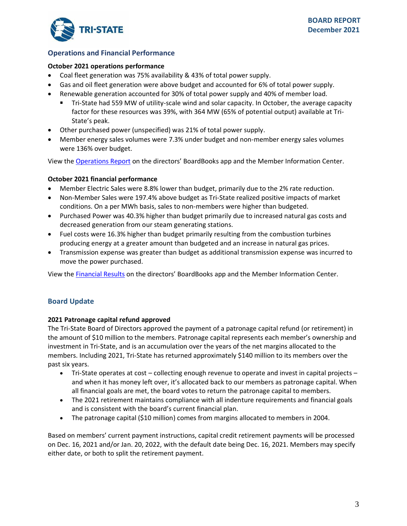

# **Operations and Financial Performance**

### **October 2021 operations performance**

- Coal fleet generation was 75% availability & 43% of total power supply.
- Gas and oil fleet generation were above budget and accounted for 6% of total power supply.
- Renewable generation accounted for 30% of total power supply and 40% of member load.
	- Tri-State had 559 MW of utility-scale wind and solar capacity. In October, the average capacity factor for these resources was 39%, with 364 MW (65% of potential output) available at Tri-State's peak.
- Other purchased power (unspecified) was 21% of total power supply.
- Member energy sales volumes were 7.3% under budget and non-member energy sales volumes were 136% over budget.

View the [Operations Report](https://mic.tristategt.org/Member%20Managers/2021-12-EO%20-%20Operations%20Report.pdf) on the directors' BoardBooks app and the Member [Information Center.](https://mic.tristategt.org/Member%20Managers/2020-08-BOD%20-%20Operations%20Report.pdf)

### **October 2021 financial performance**

- Member Electric Sales were 8.8% lower than budget, primarily due to the 2% rate reduction.
- Non-Member Sales were 197.4% above budget as Tri-State realized positive impacts of market conditions. On a per MWh basis, sales to non-members were higher than budgeted.
- Purchased Power was 40.3% higher than budget primarily due to increased natural gas costs and decreased generation from our steam generating stations.
- Fuel costs were 16.3% higher than budget primarily resulting from the combustion turbines producing energy at a greater amount than budgeted and an increase in natural gas prices.
- Transmission expense was greater than budget as additional transmission expense was incurred to move the power purchased.

View the [Financial Results](https://mic.tristategt.org/Member%20Managers/2021-12-BOD-FIN%20-%20Financial%20Results.pdf) on the directors' BoardBooks app and the Member [Information Center.](https://mic.tristategt.org/Member%20Managers/2020-08-BOD%20-%20Operations%20Report.pdf)

# **Board Update**

### **2021 Patronage capital refund approved**

The Tri-State Board of Directors approved the payment of a patronage capital refund (or retirement) in the amount of \$10 million to the members. Patronage capital represents each member's ownership and investment in Tri-State, and is an accumulation over the years of the net margins allocated to the members. Including 2021, Tri-State has returned approximately \$140 million to its members over the past six years.

- Tri-State operates at cost collecting enough revenue to operate and invest in capital projects and when it has money left over, it's allocated back to our members as patronage capital. When all financial goals are met, the board votes to return the patronage capital to members.
- The 2021 retirement maintains compliance with all indenture requirements and financial goals and is consistent with the board's current financial plan.
- The patronage capital (\$10 million) comes from margins allocated to members in 2004.

Based on members' current payment instructions, capital credit retirement payments will be processed on Dec. 16, 2021 and/or Jan. 20, 2022, with the default date being Dec. 16, 2021. Members may specify either date, or both to split the retirement payment.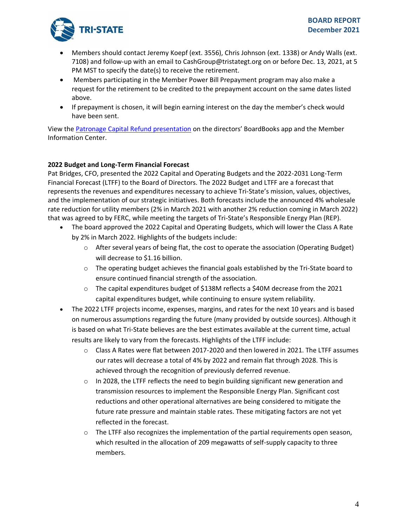

- Members should contact Jeremy Koepf (ext. 3556), Chris Johnson (ext. 1338) or Andy Walls (ext. 7108) and follow-up with an email to CashGroup@tristategt.org on or before Dec. 13, 2021, at 5 PM MST to specify the date(s) to receive the retirement.
- Members participating in the Member Power Bill Prepayment program may also make a request for the retirement to be credited to the prepayment account on the same dates listed above.
- If prepayment is chosen, it will begin earning interest on the day the member's check would have been sent.

View the [Patronage Capital Refund presentation](https://mic.tristategt.org/Member%20Managers/2021-12-FIN%20-%20Patronage%20Capital%20Refund.pdf) on the directors' BoardBooks app and the Membe[r](https://mic.tristategt.org/Member%20Managers/2020-08-BOD%20-%20Operations%20Report.pdf) [Information Center.](https://mic.tristategt.org/Member%20Managers/2020-08-BOD%20-%20Operations%20Report.pdf)

# **2022 Budget and Long-Term Financial Forecast**

Pat Bridges, CFO, presented the 2022 Capital and Operating Budgets and the 2022-2031 Long-Term Financial Forecast (LTFF) to the Board of Directors. The 2022 Budget and LTFF are a forecast that represents the revenues and expenditures necessary to achieve Tri-State's mission, values, objectives, and the implementation of our strategic initiatives. Both forecasts include the announced 4% wholesale rate reduction for utility members (2% in March 2021 with another 2% reduction coming in March 2022) that was agreed to by FERC, while meeting the targets of Tri-State's Responsible Energy Plan (REP).

- The board approved the 2022 Capital and Operating Budgets, which will lower the Class A Rate by 2% in March 2022. Highlights of the budgets include:
	- o After several years of being flat, the cost to operate the association (Operating Budget) will decrease to \$1.16 billion.
	- $\circ$  The operating budget achieves the financial goals established by the Tri-State board to ensure continued financial strength of the association.
	- o The capital expenditures budget of \$138M reflects a \$40M decrease from the 2021 capital expenditures budget, while continuing to ensure system reliability.
- The 2022 LTFF projects income, expenses, margins, and rates for the next 10 years and is based on numerous assumptions regarding the future (many provided by outside sources). Although it is based on what Tri-State believes are the best estimates available at the current time, actual results are likely to vary from the forecasts. Highlights of the LTFF include:
	- $\circ$  Class A Rates were flat between 2017-2020 and then lowered in 2021. The LTFF assumes our rates will decrease a total of 4% by 2022 and remain flat through 2028. This is achieved through the recognition of previously deferred revenue.
	- $\circ$  In 2028, the LTFF reflects the need to begin building significant new generation and transmission resources to implement the Responsible Energy Plan. Significant cost reductions and other operational alternatives are being considered to mitigate the future rate pressure and maintain stable rates. These mitigating factors are not yet reflected in the forecast.
	- $\circ$  The LTFF also recognizes the implementation of the partial requirements open season, which resulted in the allocation of 209 megawatts of self-supply capacity to three members.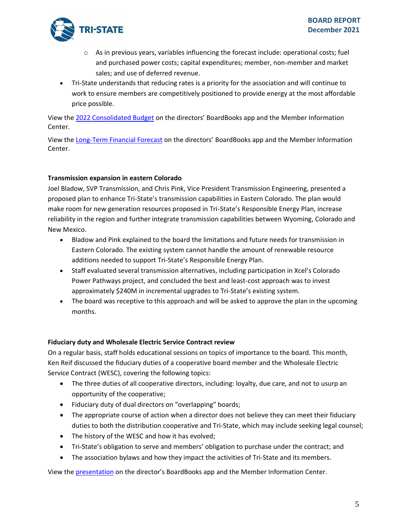

- $\circ$  As in previous years, variables influencing the forecast include: operational costs; fuel and purchased power costs; capital expenditures; member, non-member and market sales; and use of deferred revenue.
- Tri-State understands that reducing rates is a priority for the association and will continue to work to ensure members are competitively positioned to provide energy at the most affordable price possible.

View the [2022 Consolidated Budget](https://mic.tristategt.org/Member%20Managers/2021-12-BOD-EXEC%20-%20Consolidated%202022%20Budget.pdf) on the directors' BoardBooks app and the Member [Information](https://mic.tristategt.org/Member%20Managers/2020-08-BOD%20-%20Operations%20Report.pdf)  [Center.](https://mic.tristategt.org/Member%20Managers/2020-08-BOD%20-%20Operations%20Report.pdf)

View the [Long-Term Financial Forecast](https://mic.tristategt.org/Member%20Managers/2021-12-BOD-EXEC%20-%202022%20Long%20Term%20Financial%20Forecast%20-%20LTFF.pdf) on the directors' BoardBooks app and the Member [Information](https://mic.tristategt.org/Member%20Managers/2020-08-BOD%20-%20Operations%20Report.pdf)  [Center.](https://mic.tristategt.org/Member%20Managers/2020-08-BOD%20-%20Operations%20Report.pdf)

### **Transmission expansion in eastern Colorado**

Joel Bladow, SVP Transmission, and Chris Pink, Vice President Transmission Engineering, presented a proposed plan to enhance Tri-State's transmission capabilities in Eastern Colorado. The plan would make room for new generation resources proposed in Tri-State's Responsible Energy Plan, increase reliability in the region and further integrate transmission capabilities between Wyoming, Colorado and New Mexico.

- Bladow and Pink explained to the board the limitations and future needs for transmission in Eastern Colorado. The existing system cannot handle the amount of renewable resource additions needed to support Tri-State's Responsible Energy Plan.
- Staff evaluated several transmission alternatives, including participation in Xcel's Colorado Power Pathways project, and concluded the best and least-cost approach was to invest approximately \$240M in incremental upgrades to Tri-State's existing system.
- The board was receptive to this approach and will be asked to approve the plan in the upcoming months.

### **Fiduciary duty and Wholesale Electric Service Contract review**

On a regular basis, staff holds educational sessions on topics of importance to the board. This month, Ken Reif discussed the fiduciary duties of a cooperative board member and the Wholesale Electric Service Contract (WESC), covering the following topics:

- The three duties of all cooperative directors, including: loyalty, due care, and not to usurp an opportunity of the cooperative;
- Fiduciary duty of dual directors on "overlapping" boards;
- The appropriate course of action when a director does not believe they can meet their fiduciary duties to both the distribution cooperative and Tri-State, which may include seeking legal counsel;
- The history of the WESC and how it has evolved;
- Tri-State's obligation to serve and members' obligation to purchase under the contract; and
- The association bylaws and how they impact the activities of Tri-State and its members.

View the [presentation](https://mic.tristategt.org/Member%20Managers/2021-12-BOD-Fiduciary%20Duty%20and%20Contract%20Training.pdf) on the director's BoardBooks app and the Member Information Center.